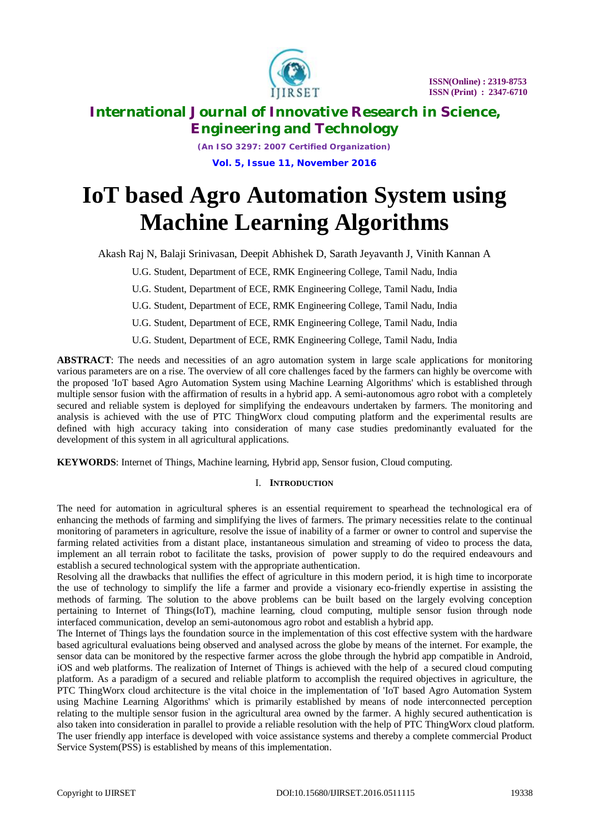

*(An ISO 3297: 2007 Certified Organization)* **Vol. 5, Issue 11, November 2016**

# **IoT based Agro Automation System using Machine Learning Algorithms**

Akash Raj N, Balaji Srinivasan, Deepit Abhishek D, Sarath Jeyavanth J, Vinith Kannan A

U.G. Student, Department of ECE, RMK Engineering College, Tamil Nadu, India

U.G. Student, Department of ECE, RMK Engineering College, Tamil Nadu, India

U.G. Student, Department of ECE, RMK Engineering College, Tamil Nadu, India

U.G. Student, Department of ECE, RMK Engineering College, Tamil Nadu, India

U.G. Student, Department of ECE, RMK Engineering College, Tamil Nadu, India

**ABSTRACT**: The needs and necessities of an agro automation system in large scale applications for monitoring various parameters are on a rise. The overview of all core challenges faced by the farmers can highly be overcome with the proposed 'IoT based Agro Automation System using Machine Learning Algorithms' which is established through multiple sensor fusion with the affirmation of results in a hybrid app. A semi-autonomous agro robot with a completely secured and reliable system is deployed for simplifying the endeavours undertaken by farmers. The monitoring and analysis is achieved with the use of PTC ThingWorx cloud computing platform and the experimental results are defined with high accuracy taking into consideration of many case studies predominantly evaluated for the development of this system in all agricultural applications.

**KEYWORDS**: Internet of Things, Machine learning, Hybrid app, Sensor fusion, Cloud computing.

# I. **INTRODUCTION**

The need for automation in agricultural spheres is an essential requirement to spearhead the technological era of enhancing the methods of farming and simplifying the lives of farmers. The primary necessities relate to the continual monitoring of parameters in agriculture, resolve the issue of inability of a farmer or owner to control and supervise the farming related activities from a distant place, instantaneous simulation and streaming of video to process the data, implement an all terrain robot to facilitate the tasks, provision of power supply to do the required endeavours and establish a secured technological system with the appropriate authentication.

Resolving all the drawbacks that nullifies the effect of agriculture in this modern period, it is high time to incorporate the use of technology to simplify the life a farmer and provide a visionary eco-friendly expertise in assisting the methods of farming. The solution to the above problems can be built based on the largely evolving conception pertaining to Internet of Things(IoT), machine learning, cloud computing, multiple sensor fusion through node interfaced communication, develop an semi-autonomous agro robot and establish a hybrid app.

The Internet of Things lays the foundation source in the implementation of this cost effective system with the hardware based agricultural evaluations being observed and analysed across the globe by means of the internet. For example, the sensor data can be monitored by the respective farmer across the globe through the hybrid app compatible in Android, iOS and web platforms. The realization of Internet of Things is achieved with the help of a secured cloud computing platform. As a paradigm of a secured and reliable platform to accomplish the required objectives in agriculture, the PTC ThingWorx cloud architecture is the vital choice in the implementation of 'IoT based Agro Automation System using Machine Learning Algorithms' which is primarily established by means of node interconnected perception relating to the multiple sensor fusion in the agricultural area owned by the farmer. A highly secured authentication is also taken into consideration in parallel to provide a reliable resolution with the help of PTC ThingWorx cloud platform. The user friendly app interface is developed with voice assistance systems and thereby a complete commercial Product Service System(PSS) is established by means of this implementation.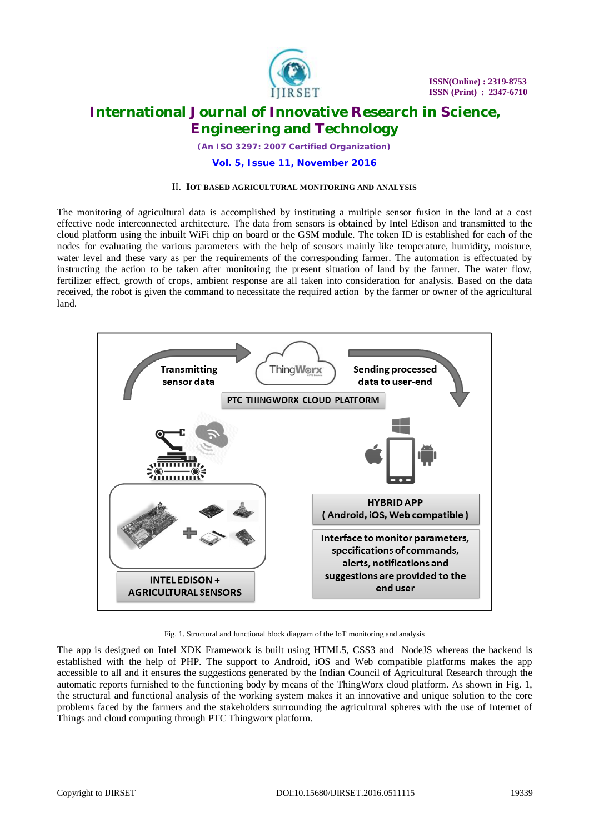

*(An ISO 3297: 2007 Certified Organization)*

## **Vol. 5, Issue 11, November 2016**

#### II. **IOT BASED AGRICULTURAL MONITORING AND ANALYSIS**

The monitoring of agricultural data is accomplished by instituting a multiple sensor fusion in the land at a cost effective node interconnected architecture. The data from sensors is obtained by Intel Edison and transmitted to the cloud platform using the inbuilt WiFi chip on board or the GSM module. The token ID is established for each of the nodes for evaluating the various parameters with the help of sensors mainly like temperature, humidity, moisture, water level and these vary as per the requirements of the corresponding farmer. The automation is effectuated by instructing the action to be taken after monitoring the present situation of land by the farmer. The water flow, fertilizer effect, growth of crops, ambient response are all taken into consideration for analysis. Based on the data received, the robot is given the command to necessitate the required action by the farmer or owner of the agricultural land.



Fig. 1. Structural and functional block diagram of the IoT monitoring and analysis

The app is designed on Intel XDK Framework is built using HTML5, CSS3 and NodeJS whereas the backend is established with the help of PHP. The support to Android, iOS and Web compatible platforms makes the app accessible to all and it ensures the suggestions generated by the Indian Council of Agricultural Research through the automatic reports furnished to the functioning body by means of the ThingWorx cloud platform. As shown in Fig. 1, the structural and functional analysis of the working system makes it an innovative and unique solution to the core problems faced by the farmers and the stakeholders surrounding the agricultural spheres with the use of Internet of Things and cloud computing through PTC Thingworx platform.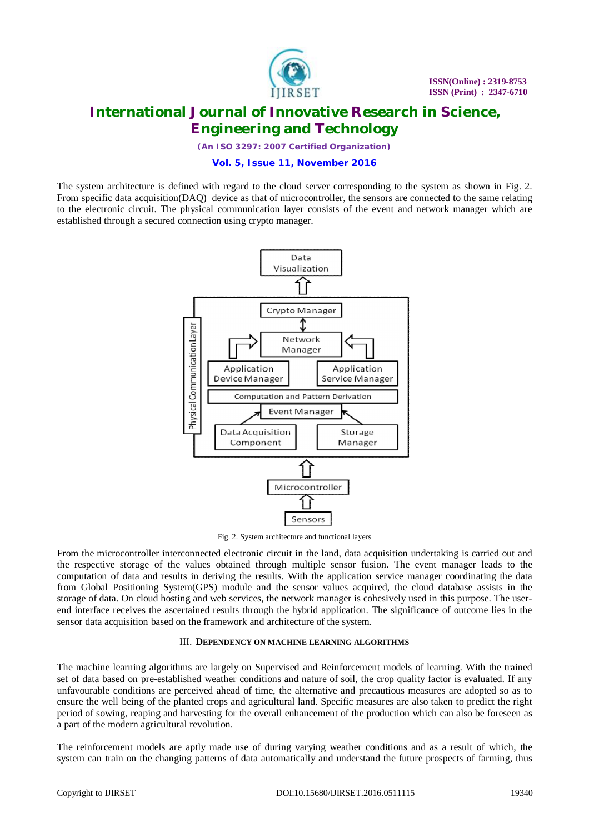

*(An ISO 3297: 2007 Certified Organization)*

## **Vol. 5, Issue 11, November 2016**

The system architecture is defined with regard to the cloud server corresponding to the system as shown in Fig. 2. From specific data acquisition(DAQ) device as that of microcontroller, the sensors are connected to the same relating to the electronic circuit. The physical communication layer consists of the event and network manager which are established through a secured connection using crypto manager.



Fig. 2. System architecture and functional layers

From the microcontroller interconnected electronic circuit in the land, data acquisition undertaking is carried out and the respective storage of the values obtained through multiple sensor fusion. The event manager leads to the computation of data and results in deriving the results. With the application service manager coordinating the data from Global Positioning System(GPS) module and the sensor values acquired, the cloud database assists in the storage of data. On cloud hosting and web services, the network manager is cohesively used in this purpose. The userend interface receives the ascertained results through the hybrid application. The significance of outcome lies in the sensor data acquisition based on the framework and architecture of the system.

## III. **DEPENDENCY ON MACHINE LEARNING ALGORITHMS**

The machine learning algorithms are largely on Supervised and Reinforcement models of learning. With the trained set of data based on pre-established weather conditions and nature of soil, the crop quality factor is evaluated. If any unfavourable conditions are perceived ahead of time, the alternative and precautious measures are adopted so as to ensure the well being of the planted crops and agricultural land. Specific measures are also taken to predict the right period of sowing, reaping and harvesting for the overall enhancement of the production which can also be foreseen as a part of the modern agricultural revolution.

The reinforcement models are aptly made use of during varying weather conditions and as a result of which, the system can train on the changing patterns of data automatically and understand the future prospects of farming, thus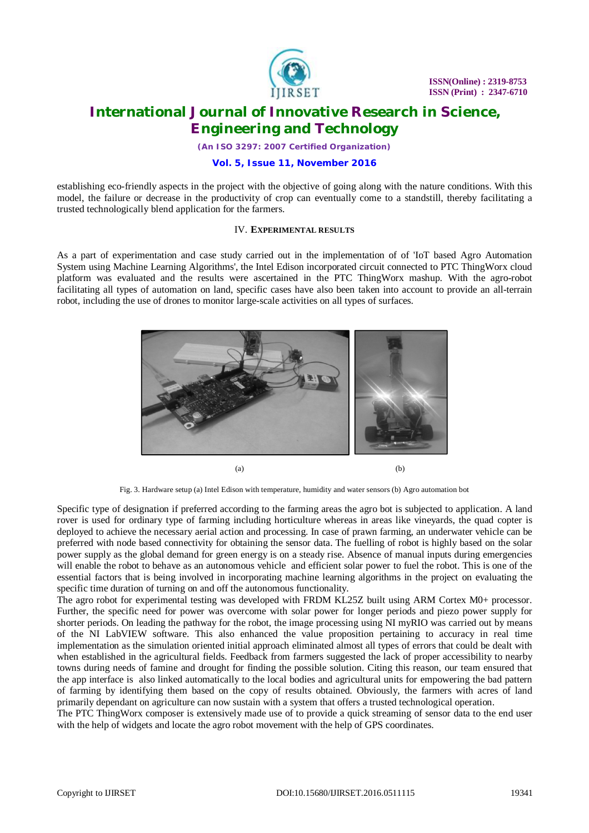

*(An ISO 3297: 2007 Certified Organization)*

## **Vol. 5, Issue 11, November 2016**

establishing eco-friendly aspects in the project with the objective of going along with the nature conditions. With this model, the failure or decrease in the productivity of crop can eventually come to a standstill, thereby facilitating a trusted technologically blend application for the farmers.

## IV. **EXPERIMENTAL RESULTS**

As a part of experimentation and case study carried out in the implementation of of 'IoT based Agro Automation System using Machine Learning Algorithms', the Intel Edison incorporated circuit connected to PTC ThingWorx cloud platform was evaluated and the results were ascertained in the PTC ThingWorx mashup. With the agro-robot facilitating all types of automation on land, specific cases have also been taken into account to provide an all-terrain robot, including the use of drones to monitor large-scale activities on all types of surfaces.



Fig. 3. Hardware setup (a) Intel Edison with temperature, humidity and water sensors (b) Agro automation bot

Specific type of designation if preferred according to the farming areas the agro bot is subjected to application. A land rover is used for ordinary type of farming including horticulture whereas in areas like vineyards, the quad copter is deployed to achieve the necessary aerial action and processing. In case of prawn farming, an underwater vehicle can be preferred with node based connectivity for obtaining the sensor data. The fuelling of robot is highly based on the solar power supply as the global demand for green energy is on a steady rise. Absence of manual inputs during emergencies will enable the robot to behave as an autonomous vehicle and efficient solar power to fuel the robot. This is one of the essential factors that is being involved in incorporating machine learning algorithms in the project on evaluating the specific time duration of turning on and off the autonomous functionality.

The agro robot for experimental testing was developed with FRDM KL25Z built using ARM Cortex M0+ processor. Further, the specific need for power was overcome with solar power for longer periods and piezo power supply for shorter periods. On leading the pathway for the robot, the image processing using NI myRIO was carried out by means of the NI LabVIEW software. This also enhanced the value proposition pertaining to accuracy in real time implementation as the simulation oriented initial approach eliminated almost all types of errors that could be dealt with when established in the agricultural fields. Feedback from farmers suggested the lack of proper accessibility to nearby towns during needs of famine and drought for finding the possible solution. Citing this reason, our team ensured that the app interface is also linked automatically to the local bodies and agricultural units for empowering the bad pattern of farming by identifying them based on the copy of results obtained. Obviously, the farmers with acres of land primarily dependant on agriculture can now sustain with a system that offers a trusted technological operation.

The PTC ThingWorx composer is extensively made use of to provide a quick streaming of sensor data to the end user with the help of widgets and locate the agro robot movement with the help of GPS coordinates.